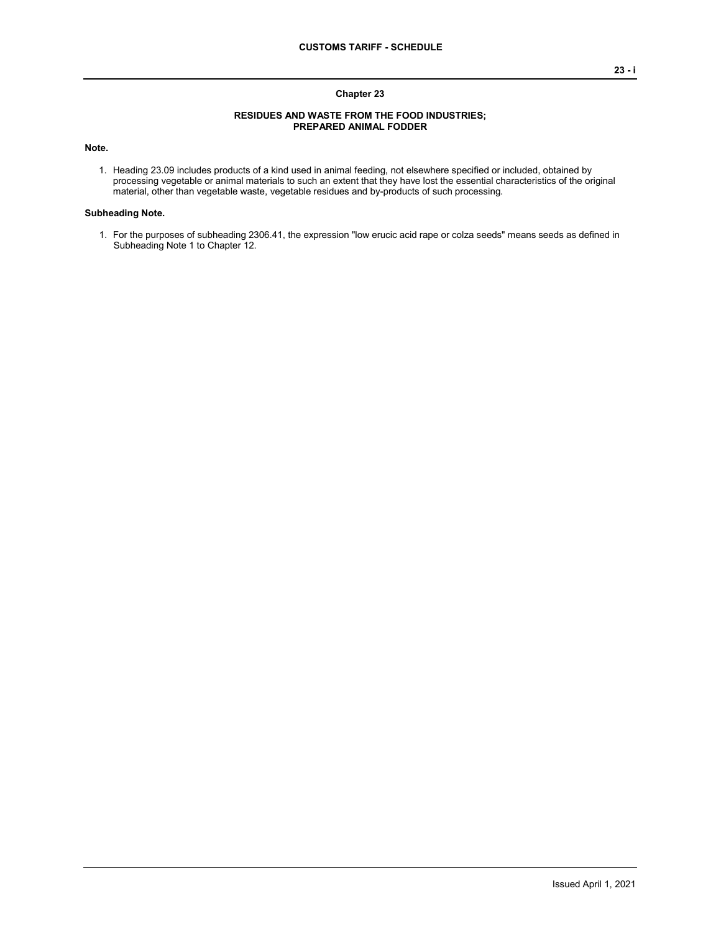## **Chapter 23**

## **RESIDUES AND WASTE FROM THE FOOD INDUSTRIES; PREPARED ANIMAL FODDER**

**Note.**

1. Heading 23.09 includes products of a kind used in animal feeding, not elsewhere specified or included, obtained by processing vegetable or animal materials to such an extent that they have lost the essential characteristics of the original material, other than vegetable waste, vegetable residues and by-products of such processing.

## **Subheading Note.**

1. For the purposes of subheading 2306.41, the expression "low erucic acid rape or colza seeds" means seeds as defined in Subheading Note 1 to Chapter 12.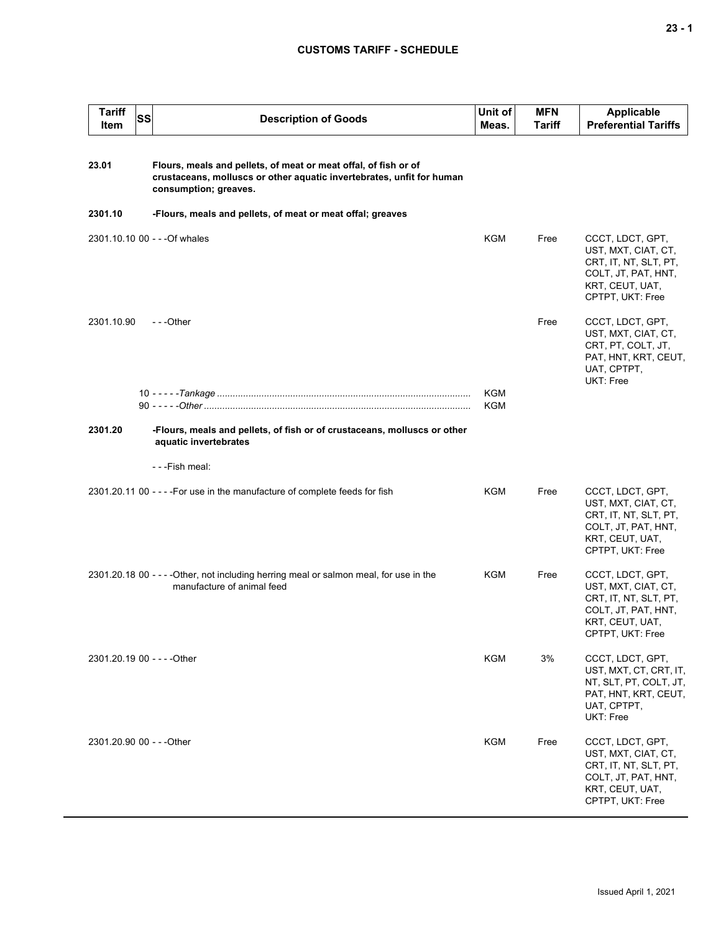## **CUSTOMS TARIFF - SCHEDULE**

| <b>Tariff</b><br>Item     | <b>SS</b> | <b>Description of Goods</b>                                                                                                                                       | Unit of<br>Meas.  | <b>MFN</b><br>Tariff | <b>Applicable</b><br><b>Preferential Tariffs</b>                                                                               |
|---------------------------|-----------|-------------------------------------------------------------------------------------------------------------------------------------------------------------------|-------------------|----------------------|--------------------------------------------------------------------------------------------------------------------------------|
| 23.01                     |           | Flours, meals and pellets, of meat or meat offal, of fish or of<br>crustaceans, molluscs or other aquatic invertebrates, unfit for human<br>consumption; greaves. |                   |                      |                                                                                                                                |
| 2301.10                   |           | -Flours, meals and pellets, of meat or meat offal; greaves                                                                                                        |                   |                      |                                                                                                                                |
|                           |           | 2301.10.10 00 - - - Of whales                                                                                                                                     | KGM               | Free                 | CCCT, LDCT, GPT,<br>UST, MXT, CIAT, CT,<br>CRT, IT, NT, SLT, PT,<br>COLT, JT, PAT, HNT,<br>KRT, CEUT, UAT,<br>CPTPT, UKT: Free |
| 2301.10.90                |           | ---Other                                                                                                                                                          |                   | Free                 | CCCT, LDCT, GPT,<br>UST, MXT, CIAT, CT,<br>CRT, PT, COLT, JT,<br>PAT, HNT, KRT, CEUT,<br>UAT, CPTPT,<br>UKT: Free              |
|                           |           |                                                                                                                                                                   | <b>KGM</b><br>KGM |                      |                                                                                                                                |
| 2301.20                   |           | -Flours, meals and pellets, of fish or of crustaceans, molluscs or other<br>aquatic invertebrates                                                                 |                   |                      |                                                                                                                                |
|                           |           | - - - Fish meal:                                                                                                                                                  |                   |                      |                                                                                                                                |
|                           |           | 2301.20.11 00 - - - - For use in the manufacture of complete feeds for fish                                                                                       | <b>KGM</b>        | Free                 | CCCT, LDCT, GPT,<br>UST, MXT, CIAT, CT,<br>CRT, IT, NT, SLT, PT,<br>COLT, JT, PAT, HNT,<br>KRT, CEUT, UAT,<br>CPTPT, UKT: Free |
|                           |           | 2301.20.18 00 - - - - Other, not including herring meal or salmon meal, for use in the<br>manufacture of animal feed                                              | KGM               | Free                 | CCCT, LDCT, GPT,<br>UST, MXT, CIAT, CT,<br>CRT, IT, NT, SLT, PT,<br>COLT, JT, PAT, HNT,<br>KRT, CEUT, UAT,<br>CPTPT, UKT: Free |
|                           |           | 2301.20.19 00 - - - - Other                                                                                                                                       | <b>KGM</b>        | 3%                   | CCCT, LDCT, GPT,<br>UST, MXT, CT, CRT, IT,<br>NT, SLT, PT, COLT, JT,<br>PAT, HNT, KRT, CEUT,<br>UAT, CPTPT,<br>UKT: Free       |
| 2301.20.90 00 - - - Other |           |                                                                                                                                                                   | <b>KGM</b>        | Free                 | CCCT, LDCT, GPT,<br>UST, MXT, CIAT, CT,<br>CRT, IT, NT, SLT, PT,<br>COLT, JT, PAT, HNT,<br>KRT, CEUT, UAT,<br>CPTPT, UKT: Free |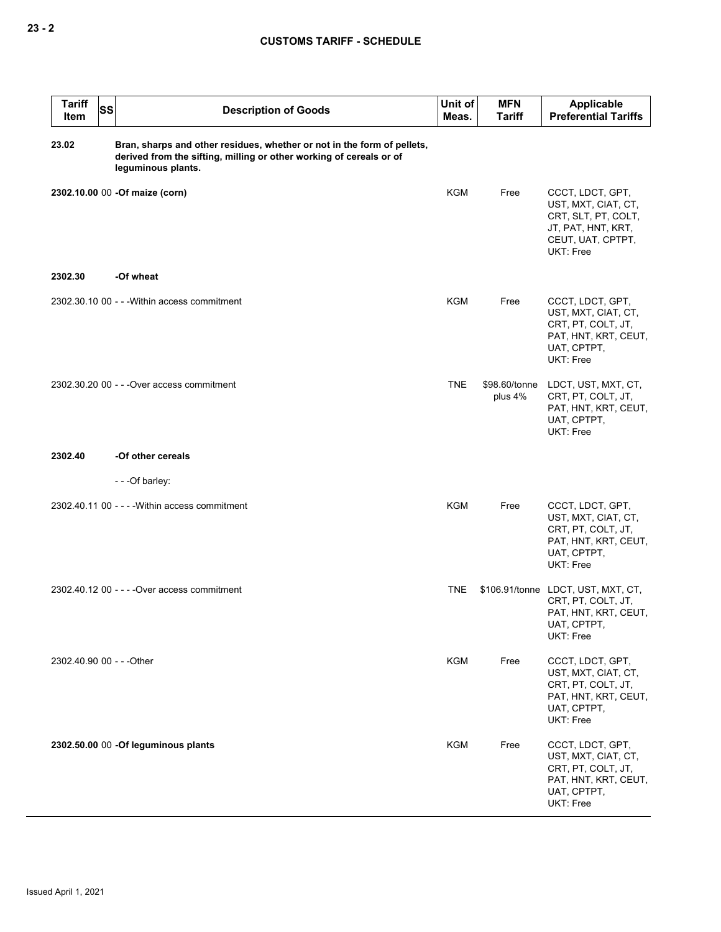| <b>Tariff</b><br><b>SS</b><br>Item | <b>Description of Goods</b>                                                                                                                                          | Unit of<br>Meas. | <b>MFN</b><br>Tariff     | Applicable<br><b>Preferential Tariffs</b>                                                                              |
|------------------------------------|----------------------------------------------------------------------------------------------------------------------------------------------------------------------|------------------|--------------------------|------------------------------------------------------------------------------------------------------------------------|
| 23.02                              | Bran, sharps and other residues, whether or not in the form of pellets,<br>derived from the sifting, milling or other working of cereals or of<br>leguminous plants. |                  |                          |                                                                                                                        |
|                                    | 2302.10.00 00 -Of maize (corn)                                                                                                                                       | <b>KGM</b>       | Free                     | CCCT, LDCT, GPT,<br>UST, MXT, CIAT, CT,<br>CRT, SLT, PT, COLT,<br>JT, PAT, HNT, KRT,<br>CEUT, UAT, CPTPT,<br>UKT: Free |
| 2302.30                            | -Of wheat                                                                                                                                                            |                  |                          |                                                                                                                        |
|                                    | 2302.30.10 00 - - - Within access commitment                                                                                                                         | <b>KGM</b>       | Free                     | CCCT, LDCT, GPT,<br>UST, MXT, CIAT, CT,<br>CRT, PT, COLT, JT,<br>PAT, HNT, KRT, CEUT,<br>UAT, CPTPT,<br>UKT: Free      |
|                                    | 2302.30.20 00 - - - Over access commitment                                                                                                                           | <b>TNE</b>       | \$98.60/tonne<br>plus 4% | LDCT, UST, MXT, CT,<br>CRT, PT, COLT, JT,<br>PAT, HNT, KRT, CEUT,<br>UAT, CPTPT,<br>UKT: Free                          |
| 2302.40                            | -Of other cereals                                                                                                                                                    |                  |                          |                                                                                                                        |
|                                    | ---Of barley:                                                                                                                                                        |                  |                          |                                                                                                                        |
|                                    | 2302.40.11 00 - - - - Within access commitment                                                                                                                       | <b>KGM</b>       | Free                     | CCCT, LDCT, GPT,<br>UST, MXT, CIAT, CT,<br>CRT, PT, COLT, JT,<br>PAT, HNT, KRT, CEUT,<br>UAT, CPTPT,<br>UKT: Free      |
|                                    | 2302.40.12 00 - - - - Over access commitment                                                                                                                         | <b>TNE</b>       |                          | \$106.91/tonne LDCT, UST, MXT, CT,<br>CRT, PT, COLT, JT,<br>PAT, HNT, KRT, CEUT,<br>UAT, CPTPT,<br>UKT: Free           |
| 2302.40.90 00 - - - Other          |                                                                                                                                                                      | KGM              | Free                     | CCCT, LDCT, GPT,<br>UST, MXT, CIAT, CT,<br>CRT, PT, COLT, JT,<br>PAT, HNT, KRT, CEUT,<br>UAT, CPTPT,<br>UKT: Free      |
|                                    | 2302.50.00 00 -Of leguminous plants                                                                                                                                  | <b>KGM</b>       | Free                     | CCCT, LDCT, GPT,<br>UST, MXT, CIAT, CT,<br>CRT, PT, COLT, JT,<br>PAT, HNT, KRT, CEUT,<br>UAT, CPTPT,<br>UKT: Free      |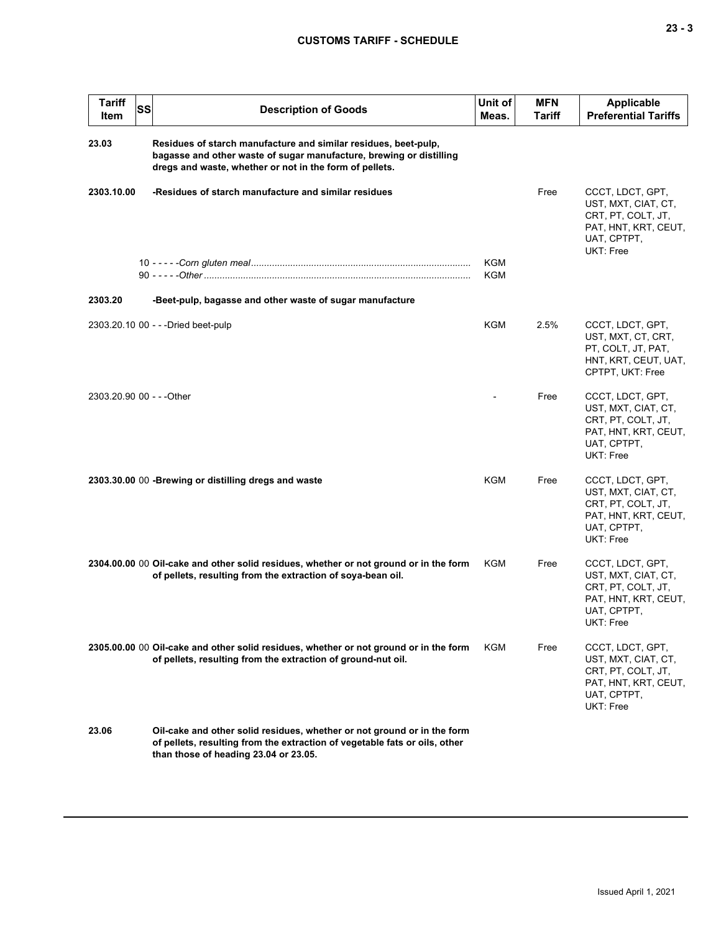| <b>Tariff</b><br>Item     | SS | <b>Description of Goods</b>                                                                                                                                                                       | Unit of<br>Meas.  | <b>MFN</b><br>Tariff | <b>Applicable</b><br><b>Preferential Tariffs</b>                                                                  |
|---------------------------|----|---------------------------------------------------------------------------------------------------------------------------------------------------------------------------------------------------|-------------------|----------------------|-------------------------------------------------------------------------------------------------------------------|
| 23.03                     |    | Residues of starch manufacture and similar residues, beet-pulp,<br>bagasse and other waste of sugar manufacture, brewing or distilling<br>dregs and waste, whether or not in the form of pellets. |                   |                      |                                                                                                                   |
| 2303.10.00                |    | -Residues of starch manufacture and similar residues                                                                                                                                              |                   | Free                 | CCCT, LDCT, GPT,<br>UST, MXT, CIAT, CT,<br>CRT, PT, COLT, JT,<br>PAT, HNT, KRT, CEUT,<br>UAT, CPTPT,<br>UKT: Free |
|                           |    |                                                                                                                                                                                                   | KGM<br><b>KGM</b> |                      |                                                                                                                   |
| 2303.20                   |    | -Beet-pulp, bagasse and other waste of sugar manufacture                                                                                                                                          |                   |                      |                                                                                                                   |
|                           |    | 2303.20.10 00 - - - Dried beet-pulp                                                                                                                                                               | <b>KGM</b>        | 2.5%                 | CCCT, LDCT, GPT,<br>UST, MXT, CT, CRT,<br>PT, COLT, JT, PAT,<br>HNT, KRT, CEUT, UAT,<br>CPTPT, UKT: Free          |
| 2303.20.90 00 - - - Other |    |                                                                                                                                                                                                   |                   | Free                 | CCCT, LDCT, GPT,<br>UST, MXT, CIAT, CT,<br>CRT, PT, COLT, JT,<br>PAT, HNT, KRT, CEUT,<br>UAT, CPTPT,<br>UKT: Free |
|                           |    | 2303.30.00 00 - Brewing or distilling dregs and waste                                                                                                                                             | <b>KGM</b>        | Free                 | CCCT, LDCT, GPT,<br>UST, MXT, CIAT, CT,<br>CRT, PT, COLT, JT,<br>PAT, HNT, KRT, CEUT,<br>UAT, CPTPT,<br>UKT: Free |
|                           |    | 2304.00.00 00 Oil-cake and other solid residues, whether or not ground or in the form<br>of pellets, resulting from the extraction of soya-bean oil.                                              | KGM               | Free                 | CCCT, LDCT, GPT,<br>UST, MXT, CIAT, CT,<br>CRT, PT, COLT, JT,<br>PAT, HNT, KRT, CEUT,<br>UAT, CPTPT,<br>UKT: Free |
|                           |    | 2305.00.00 00 Oil-cake and other solid residues, whether or not ground or in the form<br>of pellets, resulting from the extraction of ground-nut oil.                                             | KGM               | Free                 | CCCT, LDCT, GPT,<br>UST, MXT, CIAT, CT,<br>CRT, PT, COLT, JT,<br>PAT, HNT, KRT, CEUT,<br>UAT, CPTPT,<br>UKT: Free |
| 23.06                     |    | Oil-cake and other solid residues, whether or not ground or in the form<br>of pellets, resulting from the extraction of vegetable fats or oils, other<br>than those of heading 23.04 or 23.05.    |                   |                      |                                                                                                                   |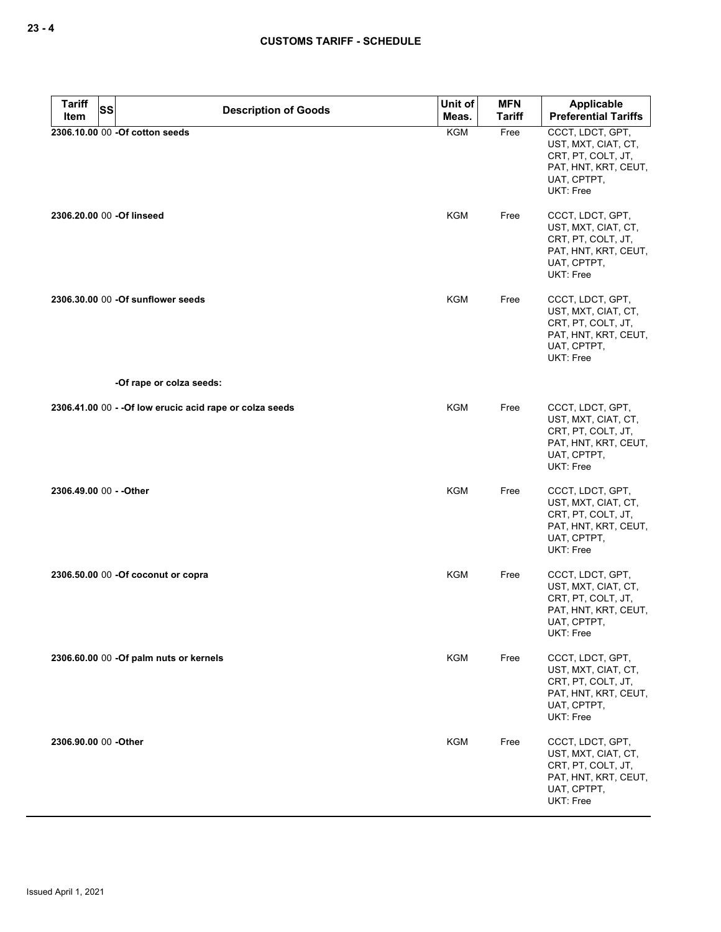| <b>Tariff</b><br><b>SS</b> | <b>Description of Goods</b>                              | Unit of    | <b>MFN</b>    | Applicable                                                                                                        |
|----------------------------|----------------------------------------------------------|------------|---------------|-------------------------------------------------------------------------------------------------------------------|
| Item                       |                                                          | Meas.      | <b>Tariff</b> | <b>Preferential Tariffs</b>                                                                                       |
|                            | 2306.10.00 00 -Of cotton seeds                           | KGM        | Free          | CCCT, LDCT, GPT,<br>UST, MXT, CIAT, CT,<br>CRT, PT, COLT, JT,<br>PAT, HNT, KRT, CEUT,<br>UAT, CPTPT,<br>UKT: Free |
| 2306.20.00 00 -Of linseed  |                                                          | <b>KGM</b> | Free          | CCCT, LDCT, GPT,<br>UST, MXT, CIAT, CT,<br>CRT, PT, COLT, JT,<br>PAT, HNT, KRT, CEUT,<br>UAT, CPTPT,<br>UKT: Free |
|                            | 2306.30.00 00 -Of sunflower seeds                        | <b>KGM</b> | Free          | CCCT, LDCT, GPT,<br>UST, MXT, CIAT, CT,<br>CRT, PT, COLT, JT,<br>PAT, HNT, KRT, CEUT,<br>UAT, CPTPT,<br>UKT: Free |
|                            | -Of rape or colza seeds:                                 |            |               |                                                                                                                   |
|                            | 2306.41.00 00 - - Of low erucic acid rape or colza seeds | <b>KGM</b> | Free          | CCCT, LDCT, GPT,<br>UST, MXT, CIAT, CT,<br>CRT, PT, COLT, JT,<br>PAT, HNT, KRT, CEUT,<br>UAT, CPTPT,<br>UKT: Free |
| 2306.49.00 00 - - Other    |                                                          | <b>KGM</b> | Free          | CCCT, LDCT, GPT,<br>UST, MXT, CIAT, CT,<br>CRT, PT, COLT, JT,<br>PAT, HNT, KRT, CEUT,<br>UAT, CPTPT,<br>UKT: Free |
|                            | 2306.50.00 00 - Of coconut or copra                      | <b>KGM</b> | Free          | CCCT, LDCT, GPT,<br>UST, MXT, CIAT, CT,<br>CRT, PT, COLT, JT,<br>PAT, HNT, KRT, CEUT,<br>UAT, CPTPT,<br>UKT: Free |
|                            | 2306.60.00 00 -Of palm nuts or kernels                   | <b>KGM</b> | Free          | CCCT, LDCT, GPT,<br>UST, MXT, CIAT, CT,<br>CRT, PT, COLT, JT,<br>PAT, HNT, KRT, CEUT,<br>UAT, CPTPT,<br>UKT: Free |
| 2306.90.00 00 - Other      |                                                          | <b>KGM</b> | Free          | CCCT, LDCT, GPT,<br>UST, MXT, CIAT, CT,<br>CRT, PT, COLT, JT,<br>PAT, HNT, KRT, CEUT,<br>UAT, CPTPT,<br>UKT: Free |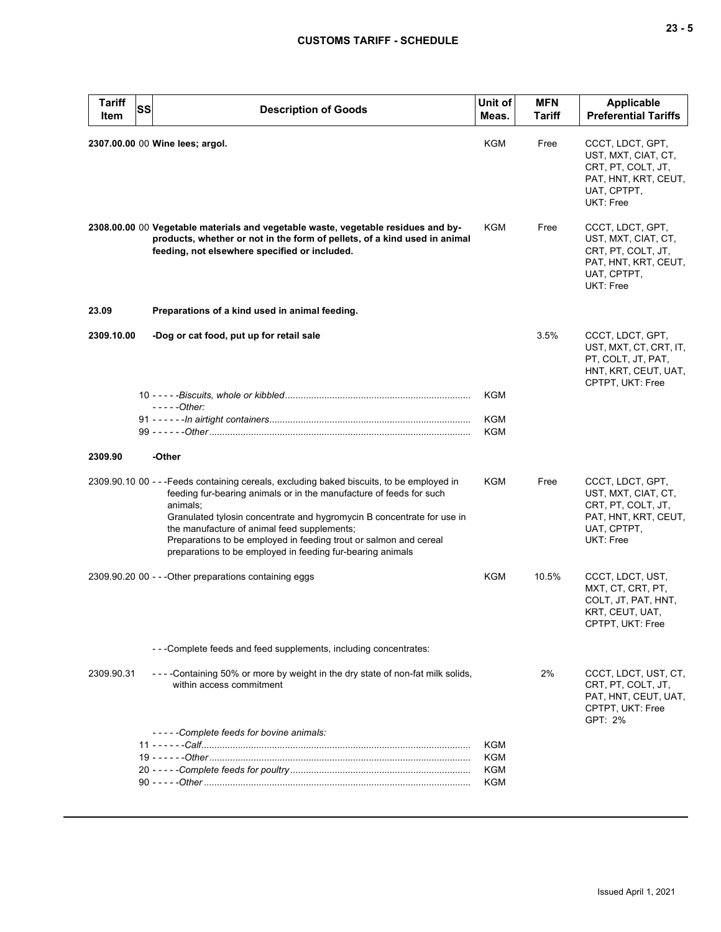| <b>Tariff</b><br>Item | <b>SS</b><br><b>Description of Goods</b>                                                                                                                                                                                                                                                                                                                                                                                                | Unit of<br>Meas.  | <b>MFN</b><br>Tariff | <b>Applicable</b><br><b>Preferential Tariffs</b>                                                                         |
|-----------------------|-----------------------------------------------------------------------------------------------------------------------------------------------------------------------------------------------------------------------------------------------------------------------------------------------------------------------------------------------------------------------------------------------------------------------------------------|-------------------|----------------------|--------------------------------------------------------------------------------------------------------------------------|
|                       | 2307.00.00 00 Wine lees; argol.                                                                                                                                                                                                                                                                                                                                                                                                         | KGM               | Free                 | CCCT, LDCT, GPT,<br>UST, MXT, CIAT, CT,<br>CRT, PT, COLT, JT,<br>PAT, HNT, KRT, CEUT,<br>UAT, CPTPT,<br>UKT: Free        |
|                       | 2308.00.00 00 Vegetable materials and vegetable waste, vegetable residues and by-<br>products, whether or not in the form of pellets, of a kind used in animal<br>feeding, not elsewhere specified or included.                                                                                                                                                                                                                         | KGM               | Free                 | CCCT, LDCT, GPT,<br>UST, MXT, CIAT, CT,<br>CRT, PT, COLT, JT,<br>PAT, HNT, KRT, CEUT,<br>UAT, CPTPT,<br><b>UKT: Free</b> |
| 23.09                 | Preparations of a kind used in animal feeding.                                                                                                                                                                                                                                                                                                                                                                                          |                   |                      |                                                                                                                          |
| 2309.10.00            | -Dog or cat food, put up for retail sale                                                                                                                                                                                                                                                                                                                                                                                                |                   | 3.5%                 | CCCT, LDCT, GPT,<br>UST, MXT, CT, CRT, IT,<br>PT, COLT, JT, PAT,<br>HNT, KRT, CEUT, UAT,<br>CPTPT, UKT: Free             |
|                       | $---Other:$                                                                                                                                                                                                                                                                                                                                                                                                                             | KGM               |                      |                                                                                                                          |
|                       |                                                                                                                                                                                                                                                                                                                                                                                                                                         | KGM<br>KGM        |                      |                                                                                                                          |
| 2309.90               | -Other                                                                                                                                                                                                                                                                                                                                                                                                                                  |                   |                      |                                                                                                                          |
|                       | 2309.90.10 00 - - -Feeds containing cereals, excluding baked biscuits, to be employed in<br>feeding fur-bearing animals or in the manufacture of feeds for such<br>animals;<br>Granulated tylosin concentrate and hygromycin B concentrate for use in<br>the manufacture of animal feed supplements;<br>Preparations to be employed in feeding trout or salmon and cereal<br>preparations to be employed in feeding fur-bearing animals | KGM               | Free                 | CCCT, LDCT, GPT,<br>UST, MXT, CIAT, CT,<br>CRT, PT, COLT, JT,<br>PAT, HNT, KRT, CEUT,<br>UAT, CPTPT,<br>UKT: Free        |
|                       | 2309.90.20 00 - - - Other preparations containing eggs                                                                                                                                                                                                                                                                                                                                                                                  | KGM               | 10.5%                | CCCT, LDCT, UST,<br>MXT, CT, CRT, PT,<br>COLT, JT, PAT, HNT,<br>KRT, CEUT, UAT,<br>CPTPT, UKT: Free                      |
|                       | - - - Complete feeds and feed supplements, including concentrates:                                                                                                                                                                                                                                                                                                                                                                      |                   |                      |                                                                                                                          |
| 2309.90.31            | - - - - Containing 50% or more by weight in the dry state of non-fat milk solids,<br>within access commitment                                                                                                                                                                                                                                                                                                                           |                   | 2%                   | CCCT, LDCT, UST, CT,<br>CRT, PT, COLT, JT,<br>PAT, HNT, CEUT, UAT,<br>CPTPT, UKT: Free<br>GPT: 2%                        |
|                       | -----Complete feeds for bovine animals:                                                                                                                                                                                                                                                                                                                                                                                                 | <b>KGM</b>        |                      |                                                                                                                          |
|                       |                                                                                                                                                                                                                                                                                                                                                                                                                                         | KGM<br>KGM<br>KGM |                      |                                                                                                                          |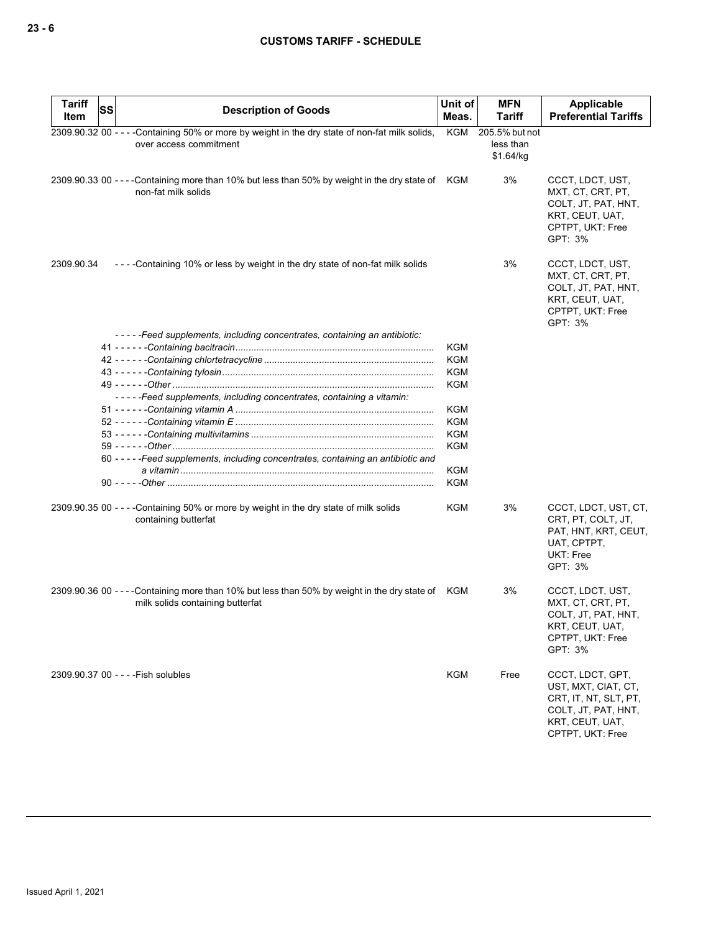| <b>Tariff</b><br>Item | SS | <b>Description of Goods</b>                                                                                                          | Unit of<br>Meas.         | <b>MFN</b><br>Tariff                     | Applicable<br><b>Preferential Tariffs</b>                                                                                      |
|-----------------------|----|--------------------------------------------------------------------------------------------------------------------------------------|--------------------------|------------------------------------------|--------------------------------------------------------------------------------------------------------------------------------|
|                       |    | 2309.90.32 00 - - - - Containing 50% or more by weight in the dry state of non-fat milk solids,<br>over access commitment            | KGM                      | 205.5% but not<br>less than<br>\$1.64/kg |                                                                                                                                |
|                       |    | 2309.90.33 00 ----Containing more than 10% but less than 50% by weight in the dry state of KGM<br>non-fat milk solids                |                          | 3%                                       | CCCT, LDCT, UST,<br>MXT, CT, CRT, PT,<br>COLT, JT, PAT, HNT,<br>KRT, CEUT, UAT,<br>CPTPT, UKT: Free<br>GPT: 3%                 |
| 2309.90.34            |    | ----Containing 10% or less by weight in the dry state of non-fat milk solids                                                         |                          | 3%                                       | CCCT, LDCT, UST,<br>MXT, CT, CRT, PT,<br>COLT, JT, PAT, HNT,<br>KRT, CEUT, UAT,<br>CPTPT, UKT: Free<br>GPT: 3%                 |
|                       |    | -----Feed supplements, including concentrates, containing an antibiotic:                                                             |                          |                                          |                                                                                                                                |
|                       |    |                                                                                                                                      | <b>KGM</b>               |                                          |                                                                                                                                |
|                       |    |                                                                                                                                      | <b>KGM</b>               |                                          |                                                                                                                                |
|                       |    |                                                                                                                                      | <b>KGM</b>               |                                          |                                                                                                                                |
|                       |    |                                                                                                                                      | <b>KGM</b>               |                                          |                                                                                                                                |
|                       |    | -----Feed supplements, including concentrates, containing a vitamin:                                                                 |                          |                                          |                                                                                                                                |
|                       |    |                                                                                                                                      | <b>KGM</b>               |                                          |                                                                                                                                |
|                       |    |                                                                                                                                      | <b>KGM</b><br><b>KGM</b> |                                          |                                                                                                                                |
|                       |    |                                                                                                                                      | <b>KGM</b>               |                                          |                                                                                                                                |
|                       |    | 60 - - - - - Feed supplements, including concentrates, containing an antibiotic and                                                  | <b>KGM</b>               |                                          |                                                                                                                                |
|                       |    | 90 - - - - - Other ………………………………………………………………………………………                                                                                 | <b>KGM</b>               |                                          |                                                                                                                                |
|                       |    |                                                                                                                                      |                          |                                          |                                                                                                                                |
|                       |    | 2309.90.35 00 - - - - Containing 50% or more by weight in the dry state of milk solids<br>containing butterfat                       | KGM                      | 3%                                       | CCCT, LDCT, UST, CT,<br>CRT, PT, COLT, JT,<br>PAT, HNT, KRT, CEUT,<br>UAT, CPTPT,<br><b>UKT: Free</b><br>GPT: 3%               |
|                       |    | 2309.90.36 00 - - - Containing more than 10% but less than 50% by weight in the dry state of KGM<br>milk solids containing butterfat |                          | 3%                                       | CCCT, LDCT, UST,<br>MXT, CT, CRT, PT,<br>COLT, JT, PAT, HNT,<br>KRT, CEUT, UAT,<br>CPTPT, UKT: Free<br>GPT: 3%                 |
|                       |    | 2309.90.37 00 - - - - Fish solubles                                                                                                  | <b>KGM</b>               | Free                                     | CCCT, LDCT, GPT,<br>UST, MXT, CIAT, CT,<br>CRT, IT, NT, SLT, PT,<br>COLT, JT, PAT, HNT,<br>KRT, CEUT, UAT,<br>CPTPT, UKT: Free |